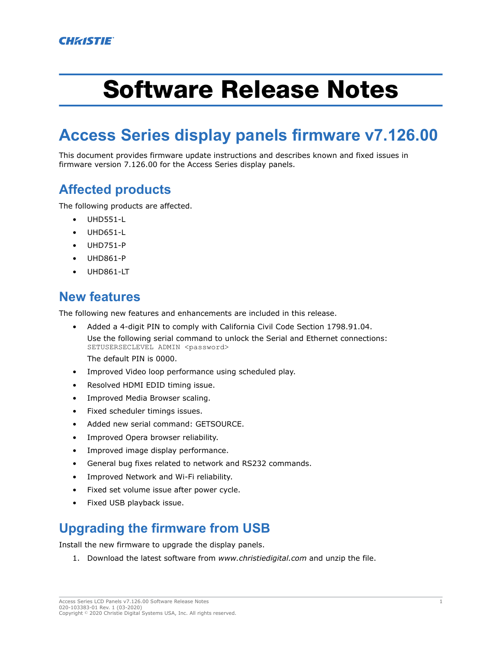# Software Release Notes

## **Access Series display panels firmware v7.126.00**

This document provides firmware update instructions and describes known and fixed issues in firmware version 7.126.00 for the Access Series display panels.

#### **Affected products**

The following products are affected.

- UHD551-L
- UHD651-L
- UHD751-P
- UHD861-P
- UHD861-LT

#### **New features**

The following new features and enhancements are included in this release.

- Added a 4-digit PIN to comply with California Civil Code Section 1798.91.04. Use the following serial command to unlock the Serial and Ethernet connections: SETUSERSECLEVEL ADMIN <password> The default PIN is 0000.
- Improved Video loop performance using scheduled play.
- Resolved HDMI EDID timing issue.
- Improved Media Browser scaling.
- Fixed scheduler timings issues.
- Added new serial command: GETSOURCE.
- Improved Opera browser reliability.
- Improved image display performance.
- General bug fixes related to network and RS232 commands.
- Improved Network and Wi-Fi reliability.
- Fixed set volume issue after power cycle.
- Fixed USB playback issue.

#### **Upgrading the firmware from USB**

Install the new firmware to upgrade the display panels.

1. Download the latest software from *[www.christiedigital.com](http://www.christiedigital.com)* and unzip the file.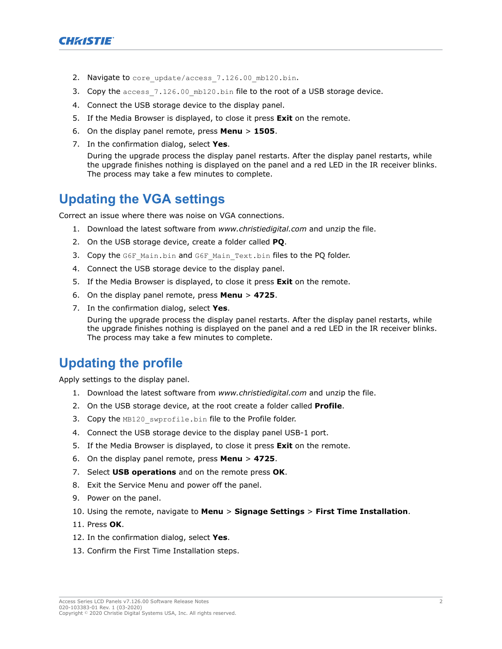

- 2. Navigate to core update/access 7.126.00 mb120.bin.
- 3. Copy the access  $7.126.00$  mb120.bin file to the root of a USB storage device.
- 4. Connect the USB storage device to the display panel.
- 5. If the Media Browser is displayed, to close it press **Exit** on the remote.
- 6. On the display panel remote, press **Menu** > **1505**.
- 7. In the confirmation dialog, select **Yes**.

During the upgrade process the display panel restarts. After the display panel restarts, while the upgrade finishes nothing is displayed on the panel and a red LED in the IR receiver blinks. The process may take a few minutes to complete.

#### **Updating the VGA settings**

Correct an issue where there was noise on VGA connections.

- 1. Download the latest software from *[www.christiedigital.com](http://www.christiedigital.com)* and unzip the file.
- 2. On the USB storage device, create a folder called **PQ**.
- 3. Copy the G6F Main.bin and G6F Main Text.bin files to the PQ folder.
- 4. Connect the USB storage device to the display panel.
- 5. If the Media Browser is displayed, to close it press **Exit** on the remote.
- 6. On the display panel remote, press **Menu** > **4725**.
- 7. In the confirmation dialog, select **Yes**.

During the upgrade process the display panel restarts. After the display panel restarts, while the upgrade finishes nothing is displayed on the panel and a red LED in the IR receiver blinks. The process may take a few minutes to complete.

### **Updating the profile**

Apply settings to the display panel.

- 1. Download the latest software from *[www.christiedigital.com](http://www.christiedigital.com)* and unzip the file.
- 2. On the USB storage device, at the root create a folder called **Profile**.
- 3. Copy the MB120 swprofile.bin file to the Profile folder.
- 4. Connect the USB storage device to the display panel USB-1 port.
- 5. If the Media Browser is displayed, to close it press **Exit** on the remote.
- 6. On the display panel remote, press **Menu** > **4725**.
- 7. Select **USB operations** and on the remote press **OK**.
- 8. Exit the Service Menu and power off the panel.
- 9. Power on the panel.
- 10. Using the remote, navigate to **Menu** > **Signage Settings** > **First Time Installation**.
- 11. Press **OK**.
- 12. In the confirmation dialog, select **Yes**.
- 13. Confirm the First Time Installation steps.